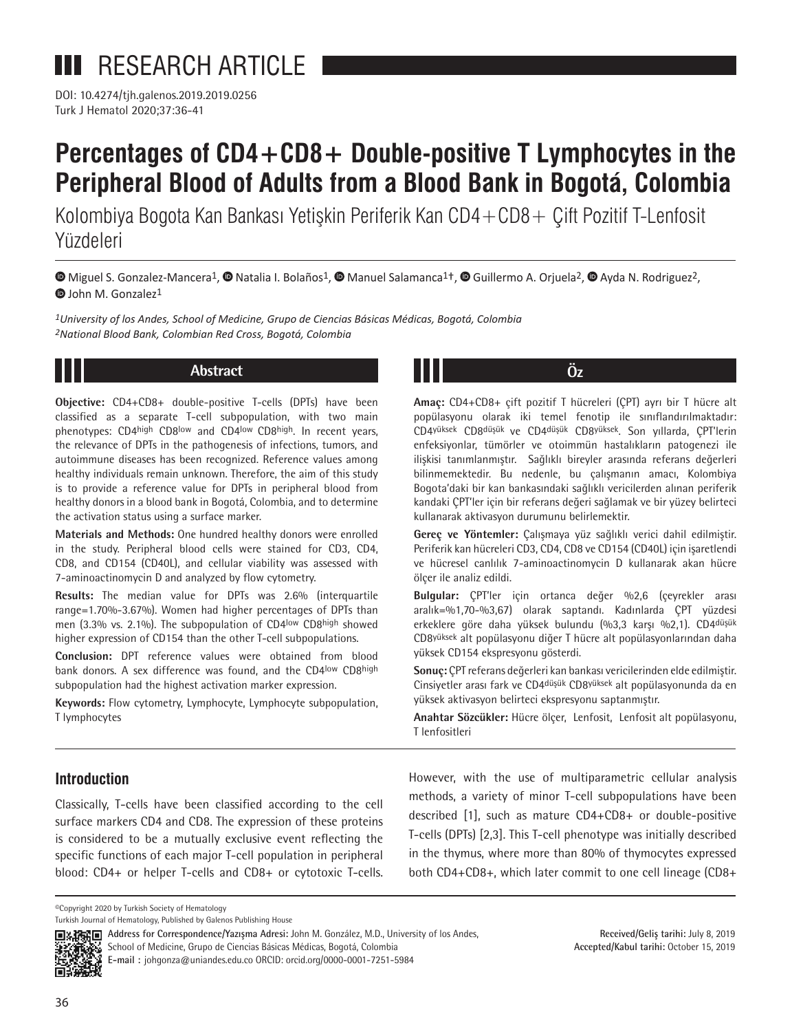DOI: 10.4274/tjh.galenos.2019.2019.0256 Turk J Hematol 2020;37:36-41

# **Percentages of CD4+CD8+ Double-positive T Lymphocytes in the Peripheral Blood of Adults from a Blood Bank in Bogotá, Colombia**

Kolombiya Bogota Kan Bankası Yetişkin Periferik Kan CD4+CD8+ Çift Pozitif T-Lenfosit Yüzdeleri

**©**Miguel S. Gonzalez-Mancera<sup>1</sup>, © Natalia I. Bolaños<sup>1</sup>, © Manuel Salamanca<sup>1†</sup>, © Guillermo A. Orjuela<sup>2</sup>, © Ayda N. Rodriguez<sup>2</sup>, **D** John M. Gonzalez<sup>1</sup>

*1University of los Andes, School of Medicine, Grupo de Ciencias Básicas Médicas, Bogotá, Colombia 2National Blood Bank, Colombian Red Cross, Bogotá, Colombia* 



# **Abstract**

**Objective:** CD4+CD8+ double-positive T-cells (DPTs) have been classified as a separate T-cell subpopulation, with two main phenotypes: CD4high CD8low and CD4low CD8high. In recent years, the relevance of DPTs in the pathogenesis of infections, tumors, and autoimmune diseases has been recognized. Reference values among healthy individuals remain unknown. Therefore, the aim of this study is to provide a reference value for DPTs in peripheral blood from healthy donors in a blood bank in Bogotá, Colombia, and to determine the activation status using a surface marker.

**Materials and Methods:** One hundred healthy donors were enrolled in the study. Peripheral blood cells were stained for CD3, CD4, CD8, and CD154 (CD40L), and cellular viability was assessed with 7-aminoactinomycin D and analyzed by flow cytometry.

**Results:** The median value for DPTs was 2.6% (interquartile range=1.70%-3.67%). Women had higher percentages of DPTs than men (3.3% vs. 2.1%). The subpopulation of CD4low CD8high showed higher expression of CD154 than the other T-cell subpopulations.

**Conclusion:** DPT reference values were obtained from blood bank donors. A sex difference was found, and the CD4low CD8high subpopulation had the highest activation marker expression.

**Keywords:** Flow cytometry, Lymphocyte, Lymphocyte subpopulation, T lymphocytes

**Amaç:** CD4+CD8+ çift pozitif T hücreleri (ÇPT) ayrı bir T hücre alt popülasyonu olarak iki temel fenotip ile sınıflandırılmaktadır: CD4yüksek CD8düşük ve CD4düşük CD8yüksek. Son yıllarda, ÇPT'lerin enfeksiyonlar, tümörler ve otoimmün hastalıkların patogenezi ile ilişkisi tanımlanmıştır. Sağlıklı bireyler arasında referans değerleri bilinmemektedir. Bu nedenle, bu çalışmanın amacı, Kolombiya Bogota'daki bir kan bankasındaki sağlıklı vericilerden alınan periferik kandaki ÇPT'ler için bir referans değeri sağlamak ve bir yüzey belirteci kullanarak aktivasyon durumunu belirlemektir.

**Öz**

**Gereç ve Yöntemler:** Çalışmaya yüz sağlıklı verici dahil edilmiştir. Periferik kan hücreleri CD3, CD4, CD8 ve CD154 (CD40L) için işaretlendi ve hücresel canlılık 7-aminoactinomycin D kullanarak akan hücre ölçer ile analiz edildi.

**Bulgular:** ÇPT'ler için ortanca değer %2,6 (çeyrekler arası aralık=%1,70-%3,67) olarak saptandı. Kadınlarda ÇPT yüzdesi erkeklere göre daha yüksek bulundu (%3,3 karşı %2,1). CD4düşük CD8yüksek alt popülasyonu diğer T hücre alt popülasyonlarından daha yüksek CD154 ekspresyonu gösterdi.

**Sonuç:** ÇPT referans değerleri kan bankası vericilerinden elde edilmiştir. Cinsiyetler arası fark ve CD4düşük CD8yüksek alt popülasyonunda da en yüksek aktivasyon belirteci ekspresyonu saptanmıştır.

**Anahtar Sözcükler:** Hücre ölçer, Lenfosit, Lenfosit alt popülasyonu, T lenfositleri

# **Introduction**

Classically, T-cells have been classified according to the cell surface markers CD4 and CD8. The expression of these proteins is considered to be a mutually exclusive event reflecting the specific functions of each major T-cell population in peripheral blood: CD4+ or helper T-cells and CD8+ or cytotoxic T-cells.

However, with the use of multiparametric cellular analysis methods, a variety of minor T-cell subpopulations have been described [1], such as mature CD4+CD8+ or double-positive T-cells (DPTs) [2,3]. This T-cell phenotype was initially described in the thymus, where more than 80% of thymocytes expressed both CD4+CD8+, which later commit to one cell lineage (CD8+

©Copyright 2020 by Turkish Society of Hematology

Turkish Journal of Hematology, Published by Galenos Publishing House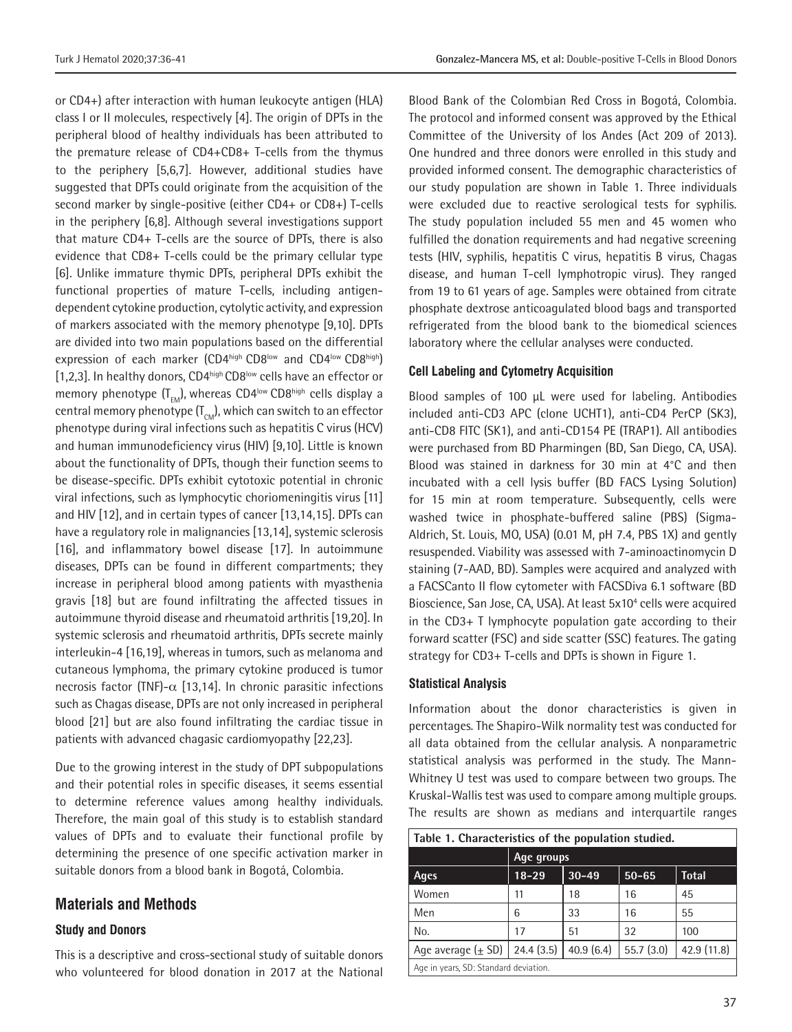or CD4+) after interaction with human leukocyte antigen (HLA) class I or II molecules, respectively [4]. The origin of DPTs in the peripheral blood of healthy individuals has been attributed to the premature release of CD4+CD8+ T-cells from the thymus to the periphery [5,6,7]. However, additional studies have suggested that DPTs could originate from the acquisition of the second marker by single-positive (either CD4+ or CD8+) T-cells in the periphery [6,8]. Although several investigations support that mature CD4+ T-cells are the source of DPTs, there is also evidence that CD8+ T-cells could be the primary cellular type [6]. Unlike immature thymic DPTs, peripheral DPTs exhibit the functional properties of mature T-cells, including antigendependent cytokine production, cytolytic activity, and expression of markers associated with the memory phenotype [9,10]. DPTs are divided into two main populations based on the differential expression of each marker (CD4high CD8low and CD4low CD8high) [1,2,3]. In healthy donors, CD4high CD8low cells have an effector or memory phenotype  $(T_{env})$ , whereas CD4<sup>low</sup> CD8<sup>high</sup> cells display a central memory phenotype  $(T<sub>CM</sub>)$ , which can switch to an effector phenotype during viral infections such as hepatitis C virus (HCV) and human immunodeficiency virus (HIV) [9,10]. Little is known about the functionality of DPTs, though their function seems to be disease-specific. DPTs exhibit cytotoxic potential in chronic viral infections, such as lymphocytic choriomeningitis virus [11] and HIV [12], and in certain types of cancer [13,14,15]. DPTs can have a regulatory role in malignancies [13,14], systemic sclerosis [16], and inflammatory bowel disease [17]. In autoimmune diseases, DPTs can be found in different compartments; they increase in peripheral blood among patients with myasthenia gravis [18] but are found infiltrating the affected tissues in autoimmune thyroid disease and rheumatoid arthritis [19,20]. In systemic sclerosis and rheumatoid arthritis, DPTs secrete mainly interleukin-4 [16,19], whereas in tumors, such as melanoma and cutaneous lymphoma, the primary cytokine produced is tumor necrosis factor (TNF)- $\alpha$  [13,14]. In chronic parasitic infections such as Chagas disease, DPTs are not only increased in peripheral blood [21] but are also found infiltrating the cardiac tissue in patients with advanced chagasic cardiomyopathy [22,23].

Due to the growing interest in the study of DPT subpopulations and their potential roles in specific diseases, it seems essential to determine reference values among healthy individuals. Therefore, the main goal of this study is to establish standard values of DPTs and to evaluate their functional profile by determining the presence of one specific activation marker in suitable donors from a blood bank in Bogotá, Colombia.

# **Materials and Methods**

### **Study and Donors**

This is a descriptive and cross-sectional study of suitable donors who volunteered for blood donation in 2017 at the National Blood Bank of the Colombian Red Cross in Bogotá, Colombia. The protocol and informed consent was approved by the Ethical Committee of the University of los Andes (Act 209 of 2013). One hundred and three donors were enrolled in this study and provided informed consent. The demographic characteristics of our study population are shown in Table 1. Three individuals were excluded due to reactive serological tests for syphilis. The study population included 55 men and 45 women who fulfilled the donation requirements and had negative screening tests (HIV, syphilis, hepatitis C virus, hepatitis B virus, Chagas disease, and human T-cell lymphotropic virus). They ranged from 19 to 61 years of age. Samples were obtained from citrate phosphate dextrose anticoagulated blood bags and transported refrigerated from the blood bank to the biomedical sciences laboratory where the cellular analyses were conducted.

#### **Cell Labeling and Cytometry Acquisition**

Blood samples of 100 µL were used for labeling. Antibodies included anti-CD3 APC (clone UCHT1), anti-CD4 PerCP (SK3), anti-CD8 FITC (SK1), and anti-CD154 PE (TRAP1). All antibodies were purchased from BD Pharmingen (BD, San Diego, CA, USA). Blood was stained in darkness for 30 min at 4°C and then incubated with a cell lysis buffer (BD FACS Lysing Solution) for 15 min at room temperature. Subsequently, cells were washed twice in phosphate-buffered saline (PBS) (Sigma-Aldrich, St. Louis, MO, USA) (0.01 M, pH 7.4, PBS 1X) and gently resuspended. Viability was assessed with 7-aminoactinomycin D staining (7-AAD, BD). Samples were acquired and analyzed with a FACSCanto II flow cytometer with FACSDiva 6.1 software (BD Bioscience, San Jose, CA, USA). At least 5x10<sup>4</sup> cells were acquired in the CD3+ T lymphocyte population gate according to their forward scatter (FSC) and side scatter (SSC) features. The gating strategy for CD3+ T-cells and DPTs is shown in Figure 1.

#### **Statistical Analysis**

Information about the donor characteristics is given in percentages. The Shapiro-Wilk normality test was conducted for all data obtained from the cellular analysis. A nonparametric statistical analysis was performed in the study. The Mann-Whitney U test was used to compare between two groups. The Kruskal-Wallis test was used to compare among multiple groups. The results are shown as medians and interquartile ranges

| Table 1. Characteristics of the population studied. |            |           |           |              |
|-----------------------------------------------------|------------|-----------|-----------|--------------|
|                                                     | Age groups |           |           |              |
| <b>Ages</b>                                         | $18 - 29$  | $30 - 49$ | $50 - 65$ | <b>Total</b> |
| Women                                               | 11         | 18        | 16        | 45           |
| Men                                                 | 6          | 33        | 16        | 55           |
| No.                                                 | 17         | 51        | 32        | 100          |
| Age average $(\pm$ SD)                              | 24.4(3.5)  | 40.9(6.4) | 55.7(3.0) | 42.9 (11.8)  |
| Age in years, SD: Standard deviation.               |            |           |           |              |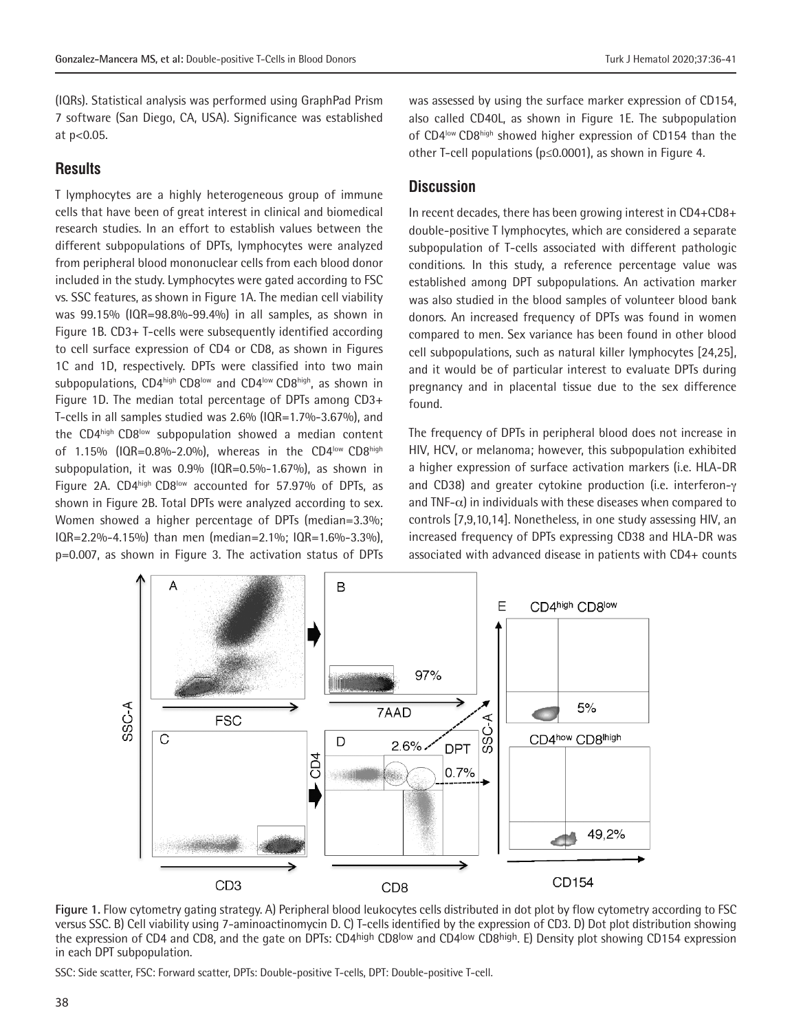(IQRs). Statistical analysis was performed using GraphPad Prism 7 software (San Diego, CA, USA). Significance was established at p<0.05.

# **Results**

T lymphocytes are a highly heterogeneous group of immune cells that have been of great interest in clinical and biomedical research studies. In an effort to establish values between the different subpopulations of DPTs, lymphocytes were analyzed from peripheral blood mononuclear cells from each blood donor included in the study. Lymphocytes were gated according to FSC vs. SSC features, as shown in Figure 1A. The median cell viability was 99.15% (IQR=98.8%-99.4%) in all samples, as shown in Figure 1B. CD3+ T-cells were subsequently identified according to cell surface expression of CD4 or CD8, as shown in Figures 1C and 1D, respectively. DPTs were classified into two main subpopulations, CD4high CD8low and CD4low CD8high, as shown in Figure 1D. The median total percentage of DPTs among CD3+ T-cells in all samples studied was 2.6% (IQR=1.7%-3.67%), and the CD4high CD8<sup>low</sup> subpopulation showed a median content of 1.15% (IQR=0.8%-2.0%), whereas in the CD4low CD8high subpopulation, it was 0.9% (IQR=0.5%-1.67%), as shown in Figure 2A. CD4high CD8low accounted for 57.97% of DPTs, as shown in Figure 2B. Total DPTs were analyzed according to sex. Women showed a higher percentage of DPTs (median=3.3%; IQR=2.2%-4.15%) than men (median=2.1%; IQR=1.6%-3.3%), p=0.007, as shown in Figure 3. The activation status of DPTs

was assessed by using the surface marker expression of CD154, also called CD40L, as shown in Figure 1E. The subpopulation of CD4<sup>low</sup> CD8<sup>high</sup> showed higher expression of CD154 than the other T-cell populations (p≤0.0001), as shown in Figure 4*.* 

# **Discussion**

In recent decades, there has been growing interest in CD4+CD8+ double-positive T lymphocytes, which are considered a separate subpopulation of T-cells associated with different pathologic conditions. In this study, a reference percentage value was established among DPT subpopulations. An activation marker was also studied in the blood samples of volunteer blood bank donors. An increased frequency of DPTs was found in women compared to men. Sex variance has been found in other blood cell subpopulations, such as natural killer lymphocytes [24,25], and it would be of particular interest to evaluate DPTs during pregnancy and in placental tissue due to the sex difference found.

The frequency of DPTs in peripheral blood does not increase in HIV, HCV, or melanoma; however, this subpopulation exhibited a higher expression of surface activation markers (i.e. HLA-DR and CD38) and greater cytokine production (i.e. interferon-γ and TNF- $\alpha$ ) in individuals with these diseases when compared to controls [7,9,10,14]. Nonetheless, in one study assessing HIV, an increased frequency of DPTs expressing CD38 and HLA-DR was associated with advanced disease in patients with CD4+ counts



**Figure 1.** Flow cytometry gating strategy. A) Peripheral blood leukocytes cells distributed in dot plot by flow cytometry according to FSC versus SSC. B) Cell viability using 7-aminoactinomycin D. C) T-cells identified by the expression of CD3. D) Dot plot distribution showing the expression of CD4 and CD8, and the gate on DPTs: CD4high CD8<sup>low</sup> and CD4<sup>low</sup> CD8high. E) Density plot showing CD154 expression in each DPT subpopulation.

SSC: Side scatter, FSC: Forward scatter, DPTs: Double-positive T-cells, DPT: Double-positive T-cell.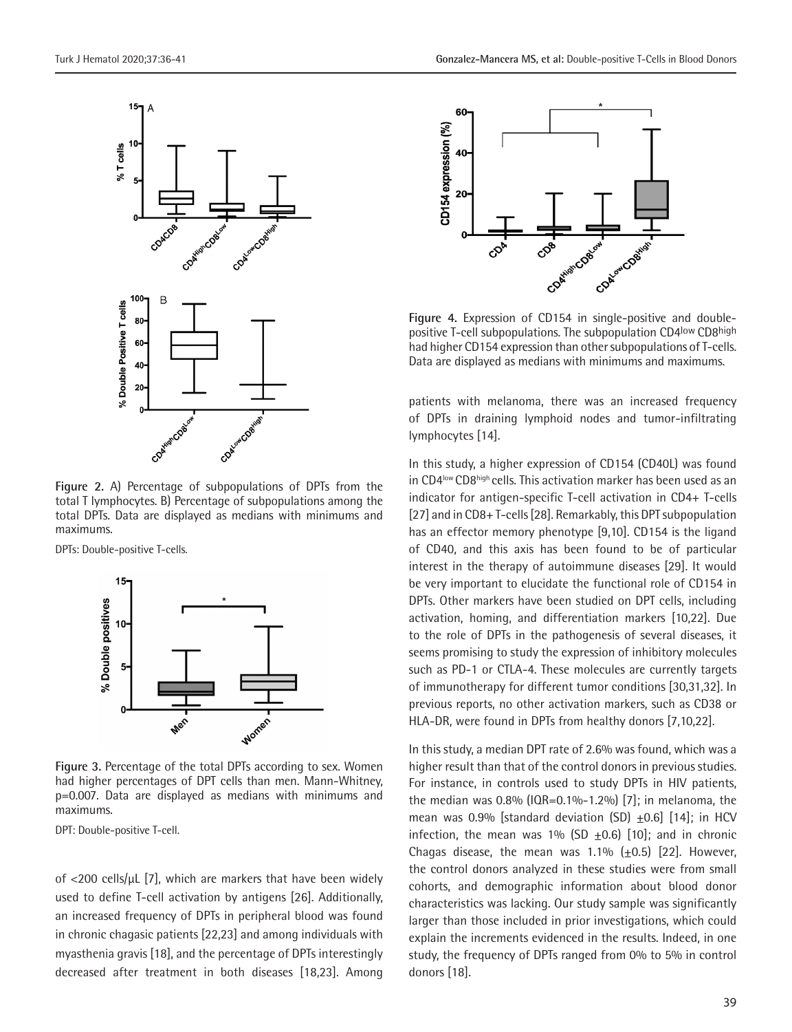

**Figure 2.** A) Percentage of subpopulations of DPTs from the total T lymphocytes. B) Percentage of subpopulations among the total DPTs. Data are displayed as medians with minimums and maximums.

DPTs: Double-positive T-cells.



**Figure 3.** Percentage of the total DPTs according to sex. Women had higher percentages of DPT cells than men. Mann-Whitney, p=0.007. Data are displayed as medians with minimums and maximums.

DPT: Double-positive T-cell.

of <200 cells/µL [7], which are markers that have been widely used to define T-cell activation by antigens [26]. Additionally, an increased frequency of DPTs in peripheral blood was found in chronic chagasic patients [22,23] and among individuals with myasthenia gravis [18], and the percentage of DPTs interestingly decreased after treatment in both diseases [18,23]. Among



**Figure 4.** Expression of CD154 in single-positive and doublepositive T-cell subpopulations. The subpopulation CD4low CD8high had higher CD154 expression than other subpopulations of T-cells. Data are displayed as medians with minimums and maximums.

patients with melanoma, there was an increased frequency of DPTs in draining lymphoid nodes and tumor-infiltrating lymphocytes [14].

In this study, a higher expression of CD154 (CD40L) was found in CD4<sup>low</sup> CD8<sup>high</sup> cells. This activation marker has been used as an indicator for antigen-specific T-cell activation in CD4+ T-cells [27] and in CD8+ T-cells [28]. Remarkably, this DPT subpopulation has an effector memory phenotype [9,10]. CD154 is the ligand of CD40, and this axis has been found to be of particular interest in the therapy of autoimmune diseases [29]. It would be very important to elucidate the functional role of CD154 in DPTs. Other markers have been studied on DPT cells, including activation, homing, and differentiation markers [10,22]. Due to the role of DPTs in the pathogenesis of several diseases, it seems promising to study the expression of inhibitory molecules such as PD-1 or CTLA-4. These molecules are currently targets of immunotherapy for different tumor conditions [30,31,32]. In previous reports, no other activation markers, such as CD38 or HLA-DR, were found in DPTs from healthy donors [7,10,22].

In this study, a median DPT rate of 2.6% was found, which was a higher result than that of the control donors in previous studies. For instance, in controls used to study DPTs in HIV patients, the median was  $0.8\%$  (IQR=0.1%-1.2%) [7]; in melanoma, the mean was 0.9% [standard deviation (SD)  $\pm$ 0.6] [14]; in HCV infection, the mean was  $1\%$  (SD  $\pm$ 0.6) [10]; and in chronic Chagas disease, the mean was 1.1%  $(\pm 0.5)$  [22]. However, the control donors analyzed in these studies were from small cohorts, and demographic information about blood donor characteristics was lacking. Our study sample was significantly larger than those included in prior investigations, which could explain the increments evidenced in the results. Indeed, in one study, the frequency of DPTs ranged from 0% to 5% in control donors [18].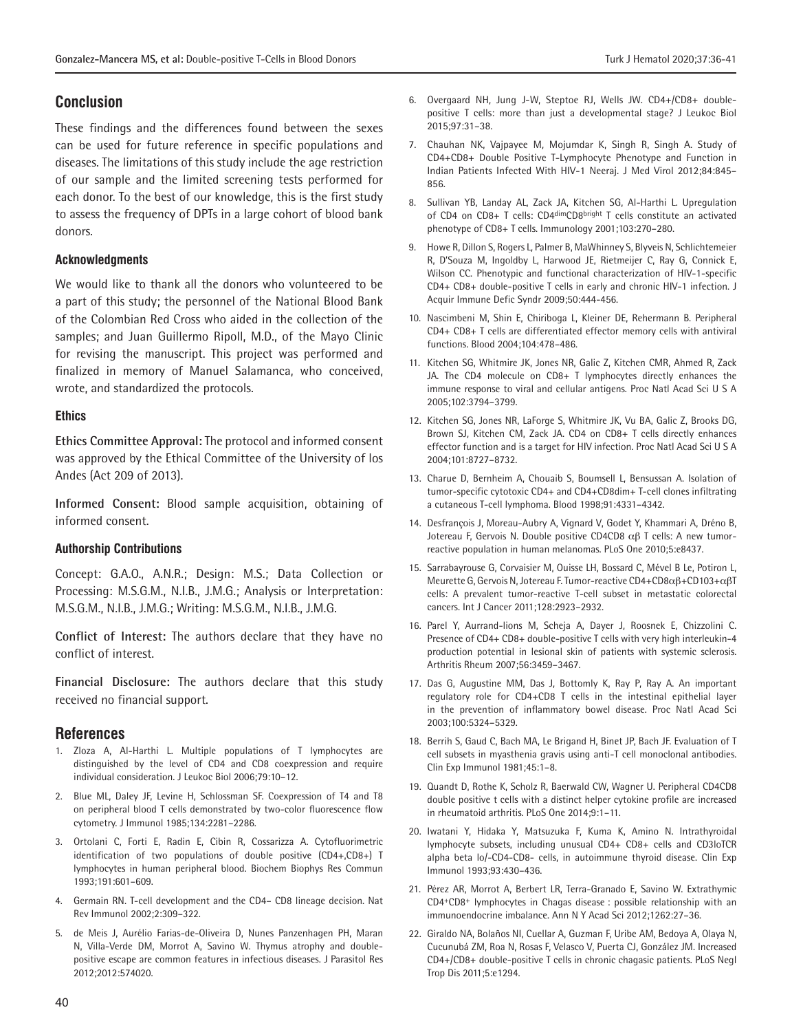# **Conclusion**

These findings and the differences found between the sexes can be used for future reference in specific populations and diseases. The limitations of this study include the age restriction of our sample and the limited screening tests performed for each donor. To the best of our knowledge, this is the first study to assess the frequency of DPTs in a large cohort of blood bank donors.

## **Acknowledgments**

We would like to thank all the donors who volunteered to be a part of this study; the personnel of the National Blood Bank of the Colombian Red Cross who aided in the collection of the samples; and Juan Guillermo Ripoll, M.D., of the Mayo Clinic for revising the manuscript. This project was performed and finalized in memory of Manuel Salamanca, who conceived, wrote, and standardized the protocols.

#### **Ethics**

**Ethics Committee Approval:** The protocol and informed consent was approved by the Ethical Committee of the University of los Andes (Act 209 of 2013).

**Informed Consent:** Blood sample acquisition, obtaining of informed consent.

### **Authorship Contributions**

Concept: G.A.O., A.N.R.; Design: M.S.; Data Collection or Processing: M.S.G.M., N.I.B., J.M.G.; Analysis or Interpretation: M.S.G.M., N.I.B., J.M.G.; Writing: M.S.G.M., N.I.B., J.M.G.

**Conflict of Interest:** The authors declare that they have no conflict of interest.

**Financial Disclosure:** The authors declare that this study received no financial support.

# **References**

- 1. Zloza A, Al-Harthi L. Multiple populations of T lymphocytes are distinguished by the level of CD4 and CD8 coexpression and require individual consideration. J Leukoc Biol 2006;79:10–12.
- 2. Blue ML, Daley JF, Levine H, Schlossman SF. Coexpression of T4 and T8 on peripheral blood T cells demonstrated by two-color fluorescence flow cytometry. J Immunol 1985;134:2281–2286.
- 3. Ortolani C, Forti E, Radin E, Cibin R, Cossarizza A. Cytofluorimetric identification of two populations of double positive (CD4+,CD8+) T lymphocytes in human peripheral blood. Biochem Biophys Res Commun 1993;191:601–609.
- 4. Germain RN. T-cell development and the CD4– CD8 lineage decision. Nat Rev Immunol 2002;2:309–322.
- 5. de Meis J, Aurélio Farias-de-Oliveira D, Nunes Panzenhagen PH, Maran N, Villa-Verde DM, Morrot A, Savino W. Thymus atrophy and doublepositive escape are common features in infectious diseases. J Parasitol Res 2012;2012:574020.
- 6. Overgaard NH, Jung J-W, Steptoe RJ, Wells JW. CD4+/CD8+ doublepositive T cells: more than just a developmental stage? J Leukoc Biol 2015;97:31–38.
- 7. Chauhan NK, Vajpayee M, Mojumdar K, Singh R, Singh A. Study of CD4+CD8+ Double Positive T-Lymphocyte Phenotype and Function in Indian Patients Infected With HIV-1 Neeraj. J Med Virol 2012;84:845– 856.
- 8. Sullivan YB, Landay AL, Zack JA, Kitchen SG, Al-Harthi L. Upregulation of CD4 on CD8+ T cells: CD4dimCD8bright T cells constitute an activated phenotype of CD8+ T cells. Immunology 2001;103:270–280.
- 9. Howe R, Dillon S, Rogers L, Palmer B, MaWhinney S, Blyveis N, Schlichtemeier R, D'Souza M, Ingoldby L, Harwood JE, Rietmeijer C, Ray G, Connick E, Wilson CC. Phenotypic and functional characterization of HIV-1-specific CD4+ CD8+ double-positive T cells in early and chronic HIV-1 infection. J Acquir Immune Defic Syndr 2009;50:444-456.
- 10. Nascimbeni M, Shin E, Chiriboga L, Kleiner DE, Rehermann B. Peripheral CD4+ CD8+ T cells are differentiated effector memory cells with antiviral functions. Blood 2004;104:478–486.
- 11. Kitchen SG, Whitmire JK, Jones NR, Galic Z, Kitchen CMR, Ahmed R, Zack JA. The CD4 molecule on CD8+ T lymphocytes directly enhances the immune response to viral and cellular antigens. Proc Natl Acad Sci U S A 2005;102:3794–3799.
- 12. Kitchen SG, Jones NR, LaForge S, Whitmire JK, Vu BA, Galic Z, Brooks DG, Brown SJ, Kitchen CM, Zack JA. CD4 on CD8+ T cells directly enhances effector function and is a target for HIV infection. Proc Natl Acad Sci U S A 2004;101:8727–8732.
- 13. Charue D, Bernheim A, Chouaib S, Boumsell L, Bensussan A. Isolation of tumor-specific cytotoxic CD4+ and CD4+CD8dim+ T-cell clones infiltrating a cutaneous T-cell lymphoma. Blood 1998;91:4331–4342.
- 14. Desfrançois J, Moreau-Aubry A, Vignard V, Godet Y, Khammari A, Dréno B, Jotereau F, Gervois N. Double positive CD4CD8 αβ T cells: A new tumorreactive population in human melanomas. PLoS One 2010;5:e8437.
- 15. Sarrabayrouse G, Corvaisier M, Ouisse LH, Bossard C, Mével B Le, Potiron L, Meurette G, Gervois N, Jotereau F. Tumor-reactive CD4+CD8αβ+CD103+αβT cells: A prevalent tumor-reactive T-cell subset in metastatic colorectal cancers. Int J Cancer 2011;128:2923–2932.
- 16. Parel Y, Aurrand-lions M, Scheja A, Dayer J, Roosnek E, Chizzolini C. Presence of CD4+ CD8+ double-positive T cells with very high interleukin-4 production potential in lesional skin of patients with systemic sclerosis. Arthritis Rheum 2007;56:3459–3467.
- 17. Das G, Augustine MM, Das J, Bottomly K, Ray P, Ray A. An important regulatory role for CD4+CD8 T cells in the intestinal epithelial layer in the prevention of inflammatory bowel disease. Proc Natl Acad Sci 2003;100:5324–5329.
- 18. Berrih S, Gaud C, Bach MA, Le Brigand H, Binet JP, Bach JF. Evaluation of T cell subsets in myasthenia gravis using anti-T cell monoclonal antibodies. Clin Exp Immunol 1981;45:1–8.
- 19. Quandt D, Rothe K, Scholz R, Baerwald CW, Wagner U. Peripheral CD4CD8 double positive t cells with a distinct helper cytokine profile are increased in rheumatoid arthritis. PLoS One 2014;9:1–11.
- 20. Iwatani Y, Hidaka Y, Matsuzuka F, Kuma K, Amino N. Intrathyroidal lymphocyte subsets, including unusual CD4+ CD8+ cells and CD3loTCR alpha beta lo/-CD4-CD8- cells, in autoimmune thyroid disease. Clin Exp Immunol 1993;93:430–436.
- 21. Pérez AR, Morrot A, Berbert LR, Terra-Granado E, Savino W. Extrathymic CD4+CD8+ lymphocytes in Chagas disease : possible relationship with an immunoendocrine imbalance. Ann N Y Acad Sci 2012;1262:27–36.
- 22. Giraldo NA, Bolaños NI, Cuellar A, Guzman F, Uribe AM, Bedoya A, Olaya N, Cucunubá ZM, Roa N, Rosas F, Velasco V, Puerta CJ, González JM. Increased CD4+/CD8+ double-positive T cells in chronic chagasic patients. PLoS Negl Trop Dis 2011;5:e1294.